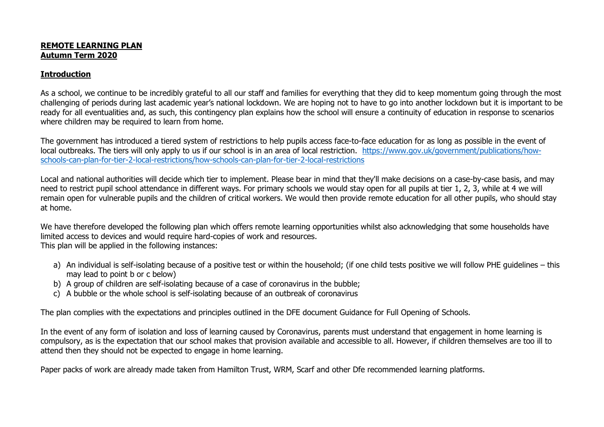## **REMOTE LEARNING PLAN Autumn Term 2020**

## **Introduction**

As a school, we continue to be incredibly grateful to all our staff and families for everything that they did to keep momentum going through the most challenging of periods during last academic year's national lockdown. We are hoping not to have to go into another lockdown but it is important to be ready for all eventualities and, as such, this contingency plan explains how the school will ensure a continuity of education in response to scenarios where children may be required to learn from home.

The government has introduced a tiered system of restrictions to help pupils access face-to-face education for as long as possible in the event of local outbreaks. The tiers will only apply to us if our school is in an area of local restriction. [https://www.gov.uk/government/publications/how](https://www.gov.uk/government/publications/how-schools-can-plan-for-tier-2-local-restrictions/how-schools-can-plan-for-tier-2-local-restrictions)[schools-can-plan-for-tier-2-local-restrictions/how-schools-can-plan-for-tier-2-local-restrictions](https://www.gov.uk/government/publications/how-schools-can-plan-for-tier-2-local-restrictions/how-schools-can-plan-for-tier-2-local-restrictions)

Local and national authorities will decide which tier to implement. Please bear in mind that they'll make decisions on a case-by-case basis, and may need to restrict pupil school attendance in different ways. For primary schools we would stay open for all pupils at tier 1, 2, 3, while at 4 we will remain open for vulnerable pupils and the children of critical workers. We would then provide remote education for all other pupils, who should stay at home.

We have therefore developed the following plan which offers remote learning opportunities whilst also acknowledging that some households have limited access to devices and would require hard-copies of work and resources. This plan will be applied in the following instances:

- a) An individual is self-isolating because of a positive test or within the household; (if one child tests positive we will follow PHE guidelines this may lead to point b or c below)
- b) A group of children are self-isolating because of a case of coronavirus in the bubble;
- c) A bubble or the whole school is self-isolating because of an outbreak of coronavirus

The plan complies with the expectations and principles outlined in the DFE document Guidance for Full Opening of Schools.

In the event of any form of isolation and loss of learning caused by Coronavirus, parents must understand that engagement in home learning is compulsory, as is the expectation that our school makes that provision available and accessible to all. However, if children themselves are too ill to attend then they should not be expected to engage in home learning.

Paper packs of work are already made taken from Hamilton Trust, WRM, Scarf and other Dfe recommended learning platforms.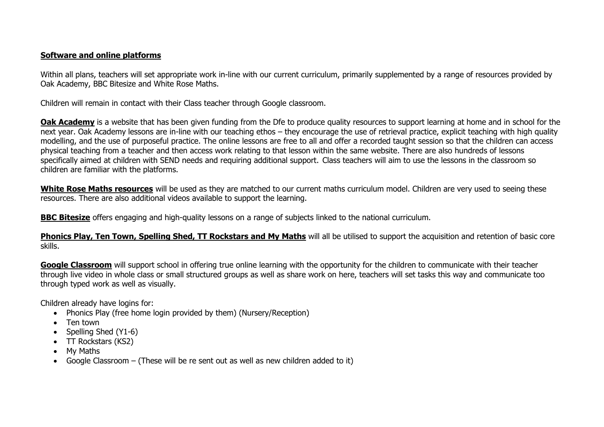## **Software and online platforms**

Within all plans, teachers will set appropriate work in-line with our current curriculum, primarily supplemented by a range of resources provided by Oak Academy, BBC Bitesize and White Rose Maths.

Children will remain in contact with their Class teacher through Google classroom.

**Oak Academy** is a website that has been given funding from the Dfe to produce quality resources to support learning at home and in school for the next year. Oak Academy lessons are in-line with our teaching ethos – they encourage the use of retrieval practice, explicit teaching with high quality modelling, and the use of purposeful practice. The online lessons are free to all and offer a recorded taught session so that the children can access physical teaching from a teacher and then access work relating to that lesson within the same website. There are also hundreds of lessons specifically aimed at children with SEND needs and requiring additional support. Class teachers will aim to use the lessons in the classroom so children are familiar with the platforms.

**White Rose Maths resources** will be used as they are matched to our current maths curriculum model. Children are very used to seeing these resources. There are also additional videos available to support the learning.

**BBC Bitesize** offers engaging and high-quality lessons on a range of subjects linked to the national curriculum.

**Phonics Play, Ten Town, Spelling Shed, TT Rockstars and My Maths** will all be utilised to support the acquisition and retention of basic core skills.

**Google Classroom** will support school in offering true online learning with the opportunity for the children to communicate with their teacher through live video in whole class or small structured groups as well as share work on here, teachers will set tasks this way and communicate too through typed work as well as visually.

Children already have logins for:

- Phonics Play (free home login provided by them) (Nursery/Reception)
- Ten town
- Spelling Shed (Y1-6)
- TT Rockstars (KS2)
- My Maths
- Google Classroom (These will be re sent out as well as new children added to it)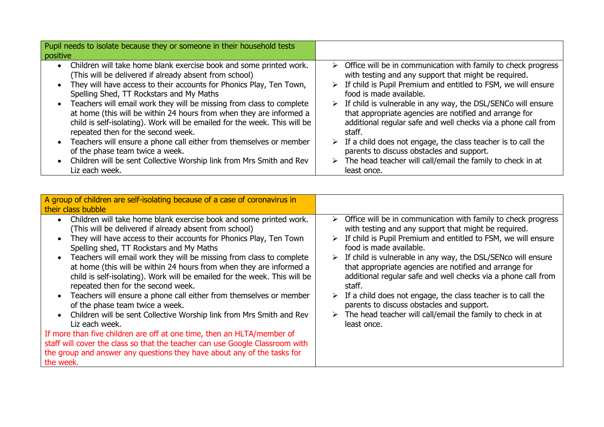| Pupil needs to isolate because they or someone in their household tests   |                                                                                |
|---------------------------------------------------------------------------|--------------------------------------------------------------------------------|
| positive                                                                  |                                                                                |
| • Children will take home blank exercise book and some printed work.      | $\triangleright$ Office will be in communication with family to check progress |
| (This will be delivered if already absent from school)                    | with testing and any support that might be required.                           |
| • They will have access to their accounts for Phonics Play, Ten Town,     | $\triangleright$ If child is Pupil Premium and entitled to FSM, we will ensure |
| Spelling Shed, TT Rockstars and My Maths                                  | food is made available.                                                        |
| • Teachers will email work they will be missing from class to complete    | $\triangleright$ If child is vulnerable in any way, the DSL/SENCo will ensure  |
| at home (this will be within 24 hours from when they are informed a       | that appropriate agencies are notified and arrange for                         |
| child is self-isolating). Work will be emailed for the week. This will be | additional regular safe and well checks via a phone call from                  |
| repeated then for the second week.                                        | staff.                                                                         |
| • Teachers will ensure a phone call either from themselves or member      | $\triangleright$ If a child does not engage, the class teacher is to call the  |
| of the phase team twice a week.                                           | parents to discuss obstacles and support.                                      |
| • Children will be sent Collective Worship link from Mrs Smith and Rev    | $\triangleright$ The head teacher will call/email the family to check in at    |
| Liz each week.                                                            | least once.                                                                    |

| A group of children are self-isolating because of a case of coronavirus in<br>their class bubble                                                                                                                                                                                                                                                                                                                                                                                                                                                                                                                                                                                                                                                                                                                                                                                                                                                                                   |                                                                                                                                                                                                                                                                                                                                                                                                                                                                                                                                                                                                                                        |
|------------------------------------------------------------------------------------------------------------------------------------------------------------------------------------------------------------------------------------------------------------------------------------------------------------------------------------------------------------------------------------------------------------------------------------------------------------------------------------------------------------------------------------------------------------------------------------------------------------------------------------------------------------------------------------------------------------------------------------------------------------------------------------------------------------------------------------------------------------------------------------------------------------------------------------------------------------------------------------|----------------------------------------------------------------------------------------------------------------------------------------------------------------------------------------------------------------------------------------------------------------------------------------------------------------------------------------------------------------------------------------------------------------------------------------------------------------------------------------------------------------------------------------------------------------------------------------------------------------------------------------|
| Children will take home blank exercise book and some printed work.<br>$\bullet$<br>(This will be delivered if already absent from school)<br>They will have access to their accounts for Phonics Play, Ten Town<br>Spelling shed, TT Rockstars and My Maths<br>Teachers will email work they will be missing from class to complete<br>at home (this will be within 24 hours from when they are informed a<br>child is self-isolating). Work will be emailed for the week. This will be<br>repeated then for the second week.<br>Teachers will ensure a phone call either from themselves or member<br>of the phase team twice a week.<br>Children will be sent Collective Worship link from Mrs Smith and Rev<br>Liz each week.<br>If more than five children are off at one time, then an HLTA/member of<br>staff will cover the class so that the teacher can use Google Classroom with<br>the group and answer any questions they have about any of the tasks for<br>the week. | Office will be in communication with family to check progress<br>≻<br>with testing and any support that might be required.<br>If child is Pupil Premium and entitled to FSM, we will ensure<br>food is made available.<br>$\triangleright$ If child is vulnerable in any way, the DSL/SENco will ensure<br>that appropriate agencies are notified and arrange for<br>additional regular safe and well checks via a phone call from<br>staff.<br>If a child does not engage, the class teacher is to call the<br>parents to discuss obstacles and support.<br>The head teacher will call/email the family to check in at<br>least once. |